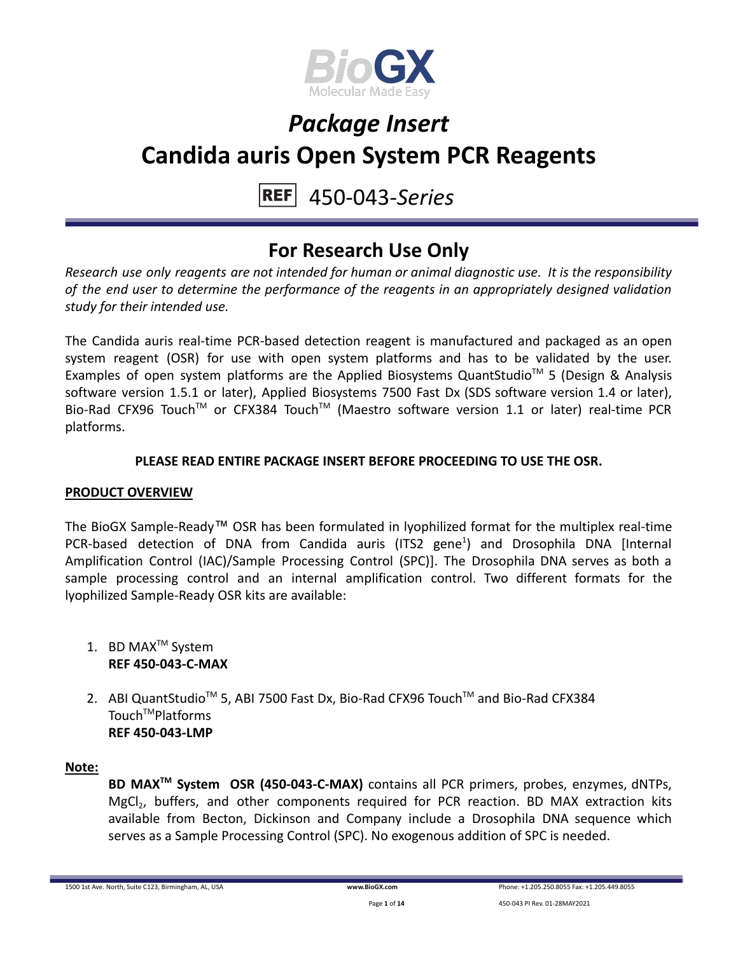

#### 450-043-*Series* **REF**

### **For Research Use Only**

*Research use only reagents are not intended for human or animal diagnostic use. It is the responsibility of the end user to determine the performance of the reagents in an appropriately designed validation study for their intended use.*

The Candida auris real-time PCR-based detection reagent is manufactured and packaged as an open system reagent (OSR) for use with open system platforms and has to be validated by the user. Examples of open system platforms are the Applied Biosystems QuantStudio™ 5 (Design & Analysis software version 1.5.1 or later), Applied Biosystems 7500 Fast Dx (SDS software version 1.4 or later), Bio-Rad CFX96 Touch™ or CFX384 Touch™ (Maestro software version 1.1 or later) real-time PCR platforms.

### **PLEASE READ ENTIRE PACKAGE INSERT BEFORE PROCEEDING TO USE THE OSR.**

#### **PRODUCT OVERVIEW**

The BioGX Sample-Ready™ OSR has been formulated in lyophilized format for the multiplex real-time PCR-based detection of DNA from Candida auris (ITS2 gene<sup>1</sup>) and Drosophila DNA [Internal Amplification Control (IAC)/Sample Processing Control (SPC)]. The Drosophila DNA serves as both a sample processing control and an internal amplification control. Two different formats for the lyophilized Sample-Ready OSR kits are available:

- 1. BD MAX<sup>™</sup> System **REF 450-043-C-MAX**
- 2. ABI QuantStudio<sup>™</sup> 5, ABI 7500 Fast Dx, Bio-Rad CFX96 Touch™ and Bio-Rad CFX384 Touch<sup>™</sup>Platforms **REF 450-043-LMP**

#### **Note:**

**BD MAXTM System OSR (450-043-C-MAX)** contains all PCR primers, probes, enzymes, dNTPs, MgCl<sub>2</sub>, buffers, and other components required for PCR reaction. BD MAX extraction kits available from Becton, Dickinson and Company include a Drosophila DNA sequence which serves as a Sample Processing Control (SPC). No exogenous addition of SPC is needed.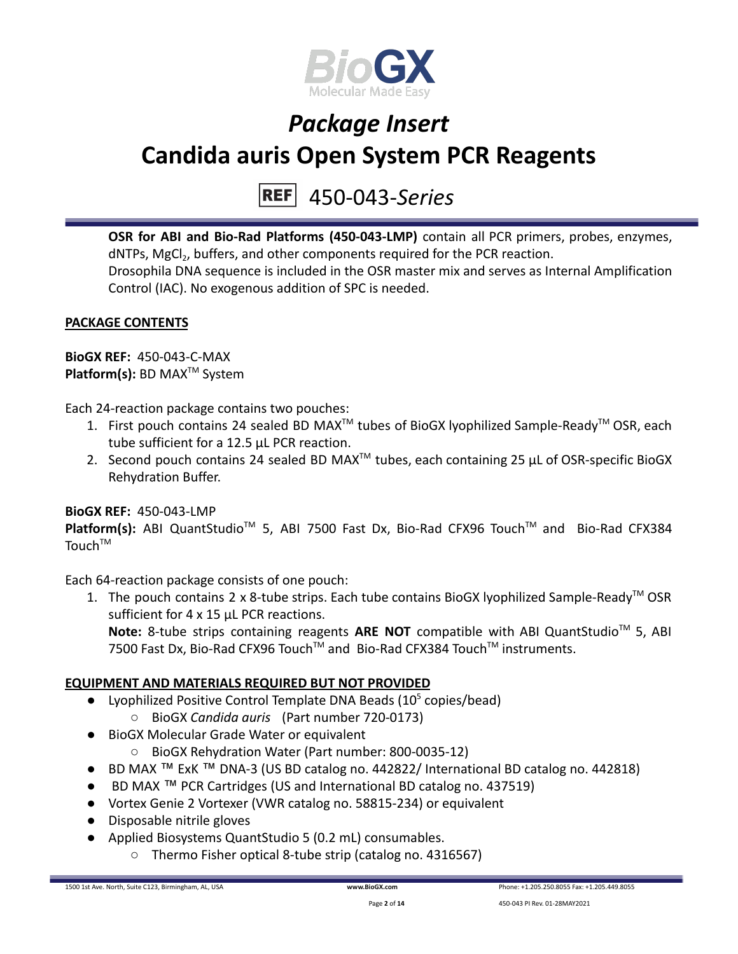

#### 450-043-*Series* **REF**

**OSR for ABI and Bio-Rad Platforms (450-043-LMP)** contain all PCR primers, probes, enzymes, dNTPs, MgCl<sub>2</sub>, buffers, and other components required for the PCR reaction. Drosophila DNA sequence is included in the OSR master mix and serves as Internal Amplification Control (IAC). No exogenous addition of SPC is needed.

### **PACKAGE CONTENTS**

**BioGX REF:** 450-043-C-MAX **Platform(s):** BD MAX<sup>™</sup> System

Each 24-reaction package contains two pouches:

- 1. First pouch contains 24 sealed BD MAX<sup>™</sup> tubes of BioGX lyophilized Sample-Ready<sup>™</sup> OSR, each tube sufficient for a 12.5 µL PCR reaction.
- 2. Second pouch contains 24 sealed BD MAX<sup>™</sup> tubes, each containing 25  $\mu$ L of OSR-specific BioGX Rehydration Buffer.

### **BioGX REF:** 450-043-LMP

Platform(s): ABI QuantStudio<sup>™</sup> 5, ABI 7500 Fast Dx, Bio-Rad CFX96 Touch<sup>™</sup> and Bio-Rad CFX384  $T$ ouch $T$ <sup>M</sup>

Each 64-reaction package consists of one pouch:

1. The pouch contains 2 x 8-tube strips. Each tube contains BioGX lyophilized Sample-Ready<sup>™</sup> OSR sufficient for 4 x 15 µL PCR reactions.

Note: 8-tube strips containing reagents ARE NOT compatible with ABI QuantStudio<sup>™</sup> 5, ABI 7500 Fast Dx, Bio-Rad CFX96 Touch™ and Bio-Rad CFX384 Touch™ instruments.

### **EQUIPMENT AND MATERIALS REQUIRED BUT NOT PROVIDED**

- Lyophilized Positive Control Template DNA Beads  $(10^5 \text{ copies/head})$ 
	- BioGX *Candida auris* (Part number 720-0173)
- BioGX Molecular Grade Water or equivalent
	- BioGX Rehydration Water (Part number: 800-0035-12)
- BD MAX ™ ExK ™ DNA-3 (US BD catalog no. 442822/ International BD catalog no. 442818)
- BD MAX ™ PCR Cartridges (US and International BD catalog no. 437519)
- Vortex Genie 2 Vortexer (VWR catalog no. 58815-234) or equivalent
- Disposable nitrile gloves
- Applied Biosystems QuantStudio 5 (0.2 mL) consumables.
	- Thermo Fisher optical 8-tube strip (catalog no. 4316567)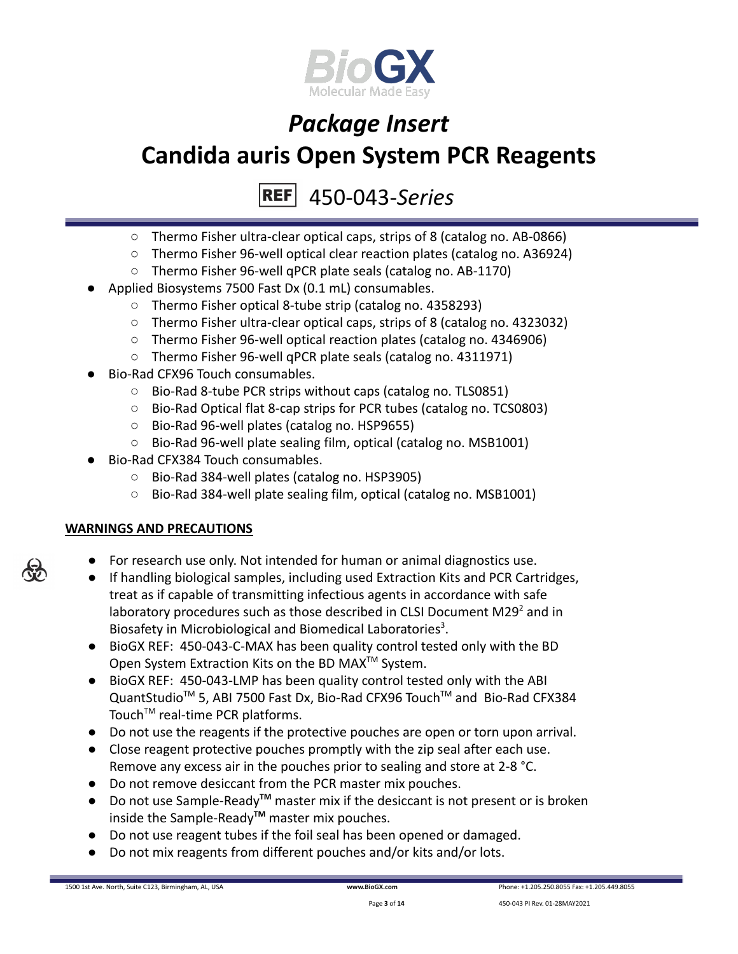

450-043-*Series* **REF** 

- Thermo Fisher ultra-clear optical caps, strips of 8 (catalog no. AB-0866)
- Thermo Fisher 96-well optical clear reaction plates (catalog no. A36924)
- Thermo Fisher 96-well qPCR plate seals (catalog no. AB-1170)
- Applied Biosystems 7500 Fast Dx (0.1 mL) consumables.
	- Thermo Fisher optical 8-tube strip (catalog no. 4358293)
	- Thermo Fisher ultra-clear optical caps, strips of 8 (catalog no. 4323032)
	- Thermo Fisher 96-well optical reaction plates (catalog no. 4346906)
	- Thermo Fisher 96-well qPCR plate seals (catalog no. 4311971)
- Bio-Rad CFX96 Touch consumables.
	- Bio-Rad 8-tube PCR strips without caps (catalog no. TLS0851)
	- Bio-Rad Optical flat 8-cap strips for PCR tubes (catalog no. TCS0803)
	- Bio-Rad 96-well plates (catalog no. HSP9655)
	- Bio-Rad 96-well plate sealing film, optical (catalog no. MSB1001)
- Bio-Rad CFX384 Touch consumables.
	- Bio-Rad 384-well plates (catalog no. HSP3905)
	- Bio-Rad 384-well plate sealing film, optical (catalog no. MSB1001)

### **WARNINGS AND PRECAUTIONS**

- For research use only. Not intended for human or animal diagnostics use.
- If handling biological samples, including used Extraction Kits and PCR Cartridges, treat as if capable of transmitting infectious agents in accordance with safe laboratory procedures such as those described in CLSI Document M29 $2$  and in Biosafety in Microbiological and Biomedical Laboratories<sup>3</sup>.
- BioGX REF: 450-043-C-MAX has been quality control tested only with the BD Open System Extraction Kits on the BD MAX<sup>™</sup> System.
- BioGX REF: 450-043-LMP has been quality control tested only with the ABI QuantStudio<sup>™</sup> 5, ABI 7500 Fast Dx, Bio-Rad CFX96 Touch™ and Bio-Rad CFX384 Touch<sup>™</sup> real-time PCR platforms.
- Do not use the reagents if the protective pouches are open or torn upon arrival.
- Close reagent protective pouches promptly with the zip seal after each use. Remove any excess air in the pouches prior to sealing and store at 2-8 °C.
- Do not remove desiccant from the PCR master mix pouches.
- Do not use Sample-Ready**TM** master mix if the desiccant is not present or is broken inside the Sample-Ready**TM** master mix pouches.
- Do not use reagent tubes if the foil seal has been opened or damaged.
- Do not mix reagents from different pouches and/or kits and/or lots.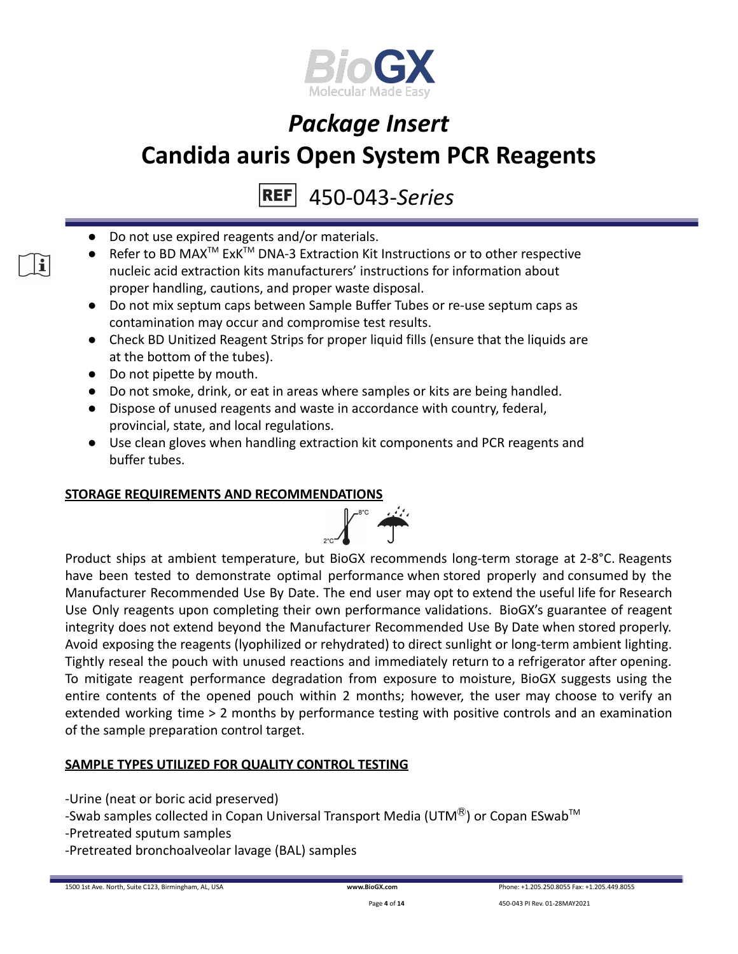

450-043-*Series*

- Do not use expired reagents and/or materials.
- Refer to BD MAX<sup>™</sup> ExK<sup>™</sup> DNA-3 Extraction Kit Instructions or to other respective nucleic acid extraction kits manufacturers' instructions for information about proper handling, cautions, and proper waste disposal.
- Do not mix septum caps between Sample Buffer Tubes or re-use septum caps as contamination may occur and compromise test results.
- Check BD Unitized Reagent Strips for proper liquid fills (ensure that the liquids are at the bottom of the tubes).
- Do not pipette by mouth.

 $\mathbf{i}$ 

- Do not smoke, drink, or eat in areas where samples or kits are being handled.
- Dispose of unused reagents and waste in accordance with country, federal, provincial, state, and local regulations.
- Use clean gloves when handling extraction kit components and PCR reagents and buffer tubes.

#### **STORAGE REQUIREMENTS AND RECOMMENDATIONS**



Product ships at ambient temperature, but BioGX recommends long-term storage at 2-8°C. Reagents have been tested to demonstrate optimal performance when stored properly and consumed by the Manufacturer Recommended Use By Date. The end user may opt to extend the useful life for Research Use Only reagents upon completing their own performance validations. BioGX's guarantee of reagent integrity does not extend beyond the Manufacturer Recommended Use By Date when stored properly. Avoid exposing the reagents (lyophilized or rehydrated) to direct sunlight or long-term ambient lighting. Tightly reseal the pouch with unused reactions and immediately return to a refrigerator after opening. To mitigate reagent performance degradation from exposure to moisture, BioGX suggests using the entire contents of the opened pouch within 2 months; however, the user may choose to verify an extended working time > 2 months by performance testing with positive controls and an examination of the sample preparation control target.

### **SAMPLE TYPES UTILIZED FOR QUALITY CONTROL TESTING**

- -Urine (neat or boric acid preserved)
- -Swab samples collected in Copan Universal Transport Media (UTM $^{\circledR}$ ) or Copan ESwab<sup>TM</sup>
- -Pretreated sputum samples
- -Pretreated bronchoalveolar lavage (BAL) samples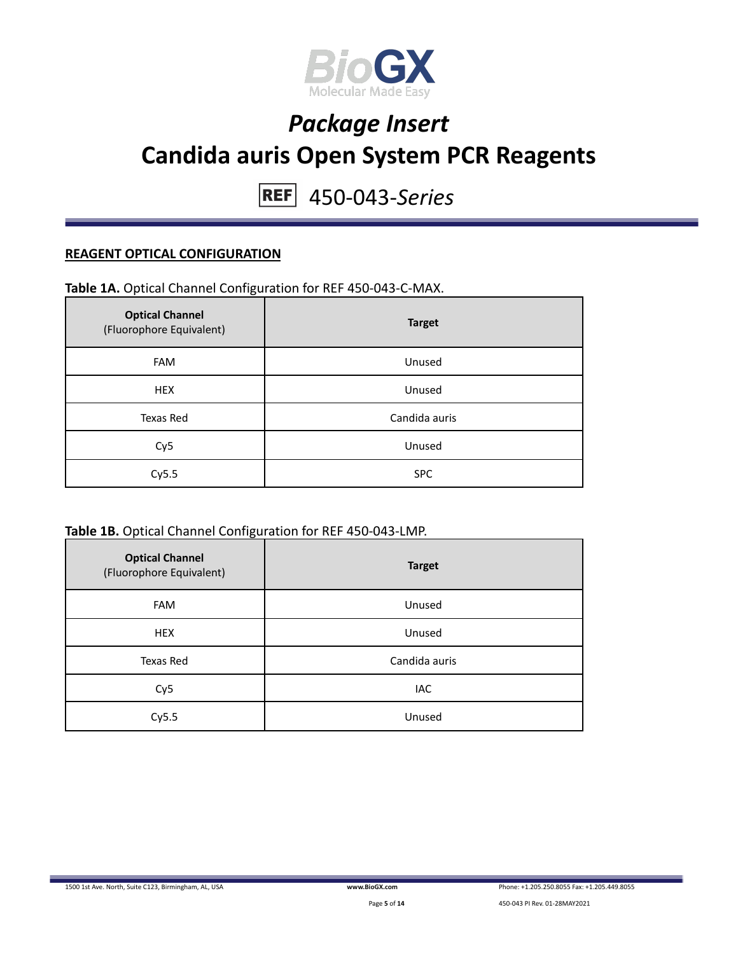

450-043-*Series*

#### **REAGENT OPTICAL CONFIGURATION**

#### **Table 1A.** Optical Channel Configuration for REF 450-043-C-MAX.

| <b>Optical Channel</b><br>(Fluorophore Equivalent) | <b>Target</b> |
|----------------------------------------------------|---------------|
| <b>FAM</b>                                         | Unused        |
| <b>HEX</b>                                         | Unused        |
| Texas Red                                          | Candida auris |
| Cy <sub>5</sub>                                    | Unused        |
| Cy5.5                                              | <b>SPC</b>    |

#### **Table 1B.** Optical Channel Configuration for REF 450-043-LMP.

| <b>Optical Channel</b><br>(Fluorophore Equivalent) | <b>Target</b> |
|----------------------------------------------------|---------------|
| <b>FAM</b>                                         | Unused        |
| <b>HEX</b>                                         | Unused        |
| Texas Red                                          | Candida auris |
| Cy <sub>5</sub>                                    | IAC           |
| Cy5.5                                              | Unused        |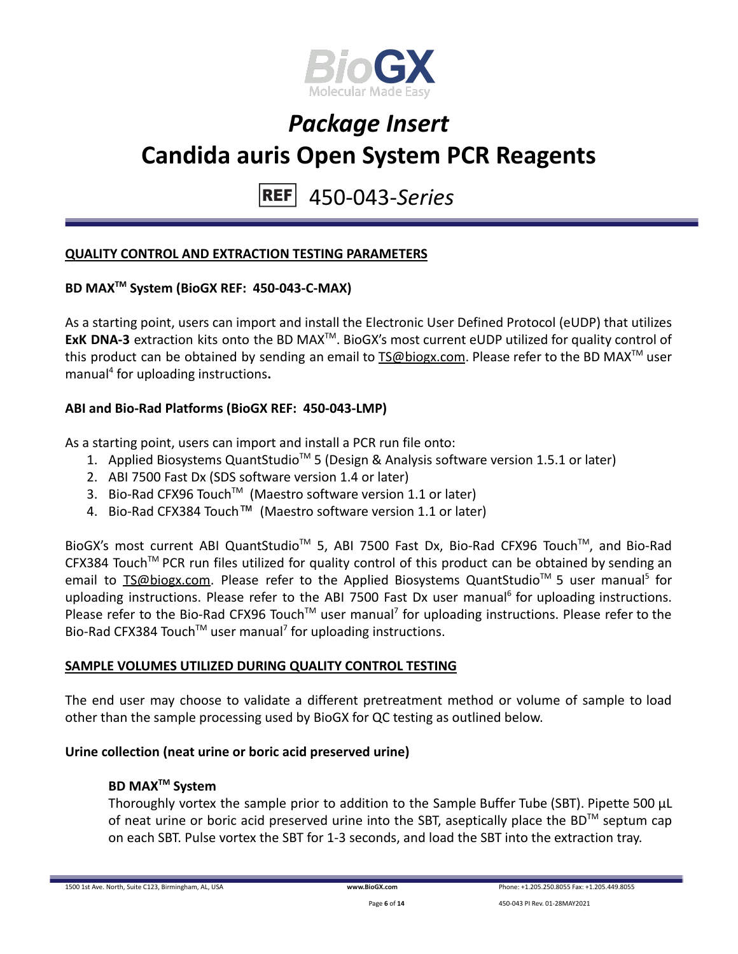

#### 450-043-*Series* **REF**

#### **QUALITY CONTROL AND EXTRACTION TESTING PARAMETERS**

### **BD MAXTM System (BioGX REF: 450-043-C-MAX)**

As a starting point, users can import and install the Electronic User Defined Protocol (eUDP) that utilizes ExK DNA-3 extraction kits onto the BD MAX<sup>™</sup>. BioGX's most current eUDP utilized for quality control of this product can be obtained by sending an email to **[TS@biogx.com](mailto:TS@biogx.com)**. Please refer to the BD MAX<sup>™</sup> user manual<sup>4</sup> for uploading instructions**.**

#### **ABI and Bio-Rad Platforms (BioGX REF: 450-043-LMP)**

As a starting point, users can import and install a PCR run file onto:

- 1. Applied Biosystems QuantStudio<sup>™</sup> 5 (Design & Analysis software version 1.5.1 or later)
- 2. ABI 7500 Fast Dx (SDS software version 1.4 or later)
- 3. Bio-Rad CFX96 Touch<sup>™</sup> (Maestro software version 1.1 or later)
- 4. Bio-Rad CFX384 Touch™ (Maestro software version 1.1 or later)

BioGX's most current ABI QuantStudio<sup>™</sup> 5, ABI 7500 Fast Dx, Bio-Rad CFX96 Touch™, and Bio-Rad CFX384 Touch™ PCR run files utilized for quality control of this product can be obtained by sending an email to **[TS@biogx.com.](mailto:TS@biogx.com)** Please refer to the Applied Biosystems QuantStudio<sup>™</sup> 5 user manual<sup>5</sup> for uploading instructions. Please refer to the ABI 7500 Fast Dx user manual<sup>6</sup> for uploading instructions. Please refer to the Bio-Rad CFX96 Touch<sup>™</sup> user manual<sup>7</sup> for uploading instructions. Please refer to the Bio-Rad CFX384 Touch<sup>™</sup> user manual<sup>7</sup> for uploading instructions.

### **SAMPLE VOLUMES UTILIZED DURING QUALITY CONTROL TESTING**

The end user may choose to validate a different pretreatment method or volume of sample to load other than the sample processing used by BioGX for QC testing as outlined below.

#### **Urine collection (neat urine or boric acid preserved urine)**

#### **BD MAXTM System**

Thoroughly vortex the sample prior to addition to the Sample Buffer Tube (SBT). Pipette 500 μL of neat urine or boric acid preserved urine into the SBT, aseptically place the BD<sup>TM</sup> septum cap on each SBT. Pulse vortex the SBT for 1-3 seconds, and load the SBT into the extraction tray.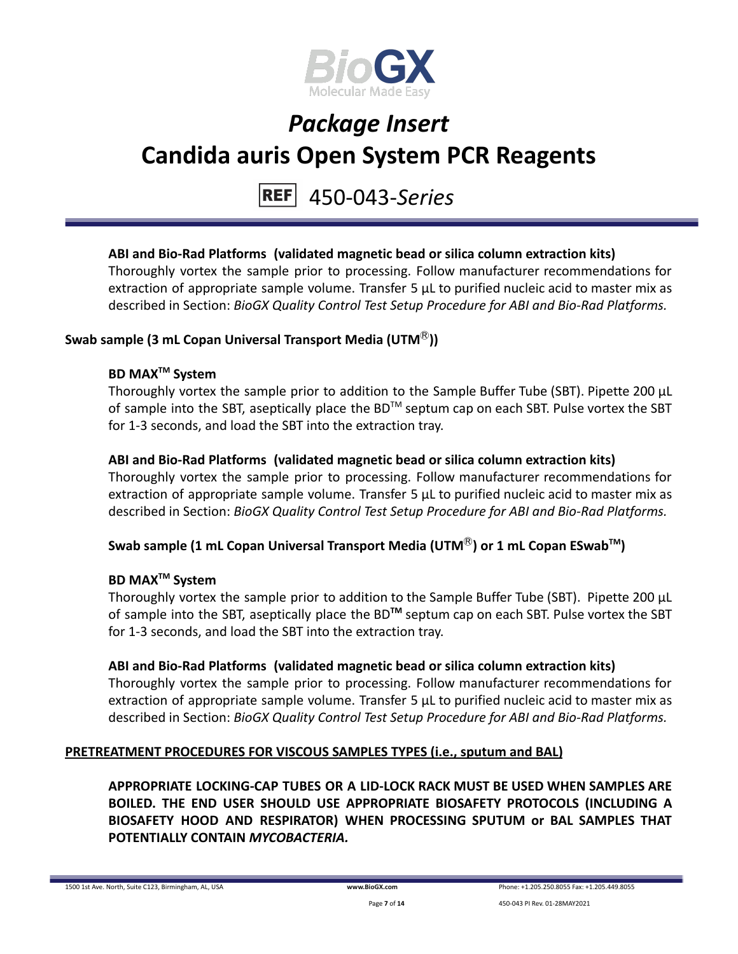

#### 450-043-*Series* **REF**

### **ABI and Bio-Rad Platforms (validated magnetic bead or silica column extraction kits)**

Thoroughly vortex the sample prior to processing. Follow manufacturer recommendations for extraction of appropriate sample volume. Transfer 5 μL to purified nucleic acid to master mix as described in Section: *BioGX Quality Control Test Setup Procedure for ABI and Bio-Rad Platforms.*

#### **Swab sample (3 mL Copan Universal Transport Media (UTM**Ⓡ**))**

#### **BD MAXTM System**

Thoroughly vortex the sample prior to addition to the Sample Buffer Tube (SBT). Pipette 200 μL of sample into the SBT, aseptically place the BD<sup>TM</sup> septum cap on each SBT. Pulse vortex the SBT for 1-3 seconds, and load the SBT into the extraction tray.

#### **ABI and Bio-Rad Platforms (validated magnetic bead or silica column extraction kits)**

Thoroughly vortex the sample prior to processing. Follow manufacturer recommendations for extraction of appropriate sample volume. Transfer 5 μL to purified nucleic acid to master mix as described in Section: *BioGX Quality Control Test Setup Procedure for ABI and Bio-Rad Platforms.*

### **Swab sample (1 mL Copan Universal Transport Media (UTM**Ⓡ**) or 1 mL Copan ESwabTM )**

### **BD MAXTM System**

Thoroughly vortex the sample prior to addition to the Sample Buffer Tube (SBT). Pipette 200 μL of sample into the SBT, aseptically place the BD<sup>™</sup> septum cap on each SBT. Pulse vortex the SBT for 1-3 seconds, and load the SBT into the extraction tray.

#### **ABI and Bio-Rad Platforms (validated magnetic bead or silica column extraction kits)**

Thoroughly vortex the sample prior to processing. Follow manufacturer recommendations for extraction of appropriate sample volume. Transfer 5 μL to purified nucleic acid to master mix as described in Section: *BioGX Quality Control Test Setup Procedure for ABI and Bio-Rad Platforms.*

#### **PRETREATMENT PROCEDURES FOR VISCOUS SAMPLES TYPES (i.e., sputum and BAL)**

**APPROPRIATE LOCKING-CAP TUBES OR A LID-LOCK RACK MUST BE USED WHEN SAMPLES ARE BOILED. THE END USER SHOULD USE APPROPRIATE BIOSAFETY PROTOCOLS (INCLUDING A BIOSAFETY HOOD AND RESPIRATOR) WHEN PROCESSING SPUTUM or BAL SAMPLES THAT POTENTIALLY CONTAIN** *MYCOBACTERIA.*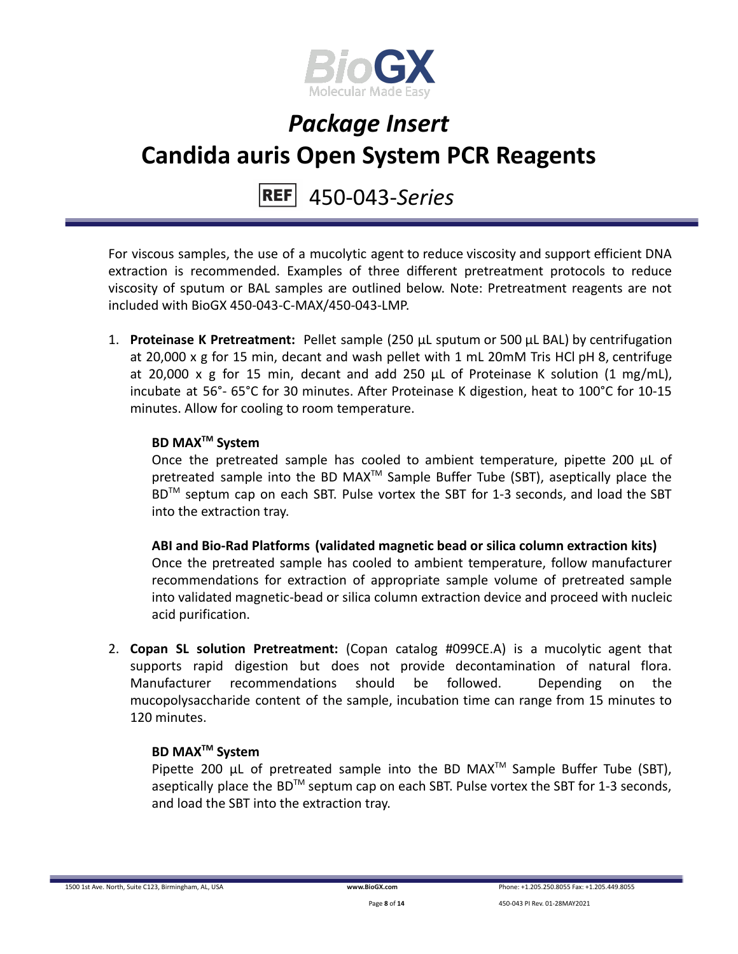

#### 450-043-*Series* **REF**

For viscous samples, the use of a mucolytic agent to reduce viscosity and support efficient DNA extraction is recommended. Examples of three different pretreatment protocols to reduce viscosity of sputum or BAL samples are outlined below. Note: Pretreatment reagents are not included with BioGX 450-043-C-MAX/450-043-LMP.

1. **Proteinase K Pretreatment:** Pellet sample (250 μL sputum or 500 μL BAL) by centrifugation at 20,000 x g for 15 min, decant and wash pellet with 1 mL 20mM Tris HCl pH 8, centrifuge at 20,000 x g for 15 min, decant and add 250 μL of Proteinase K solution (1 mg/mL), incubate at 56°- 65°C for 30 minutes. After Proteinase K digestion, heat to 100°C for 10-15 minutes. Allow for cooling to room temperature.

### **BD MAXTM System**

Once the pretreated sample has cooled to ambient temperature, pipette 200 μL of pretreated sample into the BD MAX<sup>™</sup> Sample Buffer Tube (SBT), aseptically place the BD<sup>™</sup> septum cap on each SBT. Pulse vortex the SBT for 1-3 seconds, and load the SBT into the extraction tray.

**ABI and Bio-Rad Platforms (validated magnetic bead or silica column extraction kits)** Once the pretreated sample has cooled to ambient temperature, follow manufacturer recommendations for extraction of appropriate sample volume of pretreated sample into validated magnetic-bead or silica column extraction device and proceed with nucleic acid purification.

2. **Copan SL solution Pretreatment:** (Copan catalog #099CE.A) is a mucolytic agent that supports rapid digestion but does not provide decontamination of natural flora. Manufacturer recommendations should be followed. Depending on the mucopolysaccharide content of the sample, incubation time can range from 15 minutes to 120 minutes.

### **BD MAXTM System**

Pipette 200  $\mu$ L of pretreated sample into the BD MAX<sup>TM</sup> Sample Buffer Tube (SBT), aseptically place the BD<sup>TM</sup> septum cap on each SBT. Pulse vortex the SBT for 1-3 seconds, and load the SBT into the extraction tray.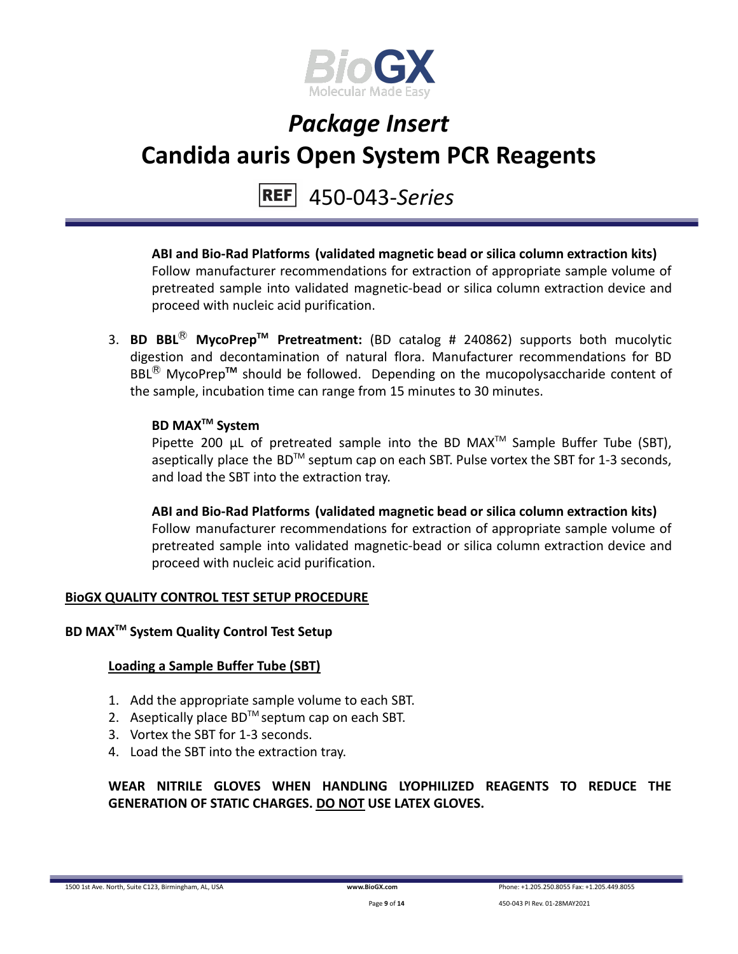

### 450-043-*Series*

**ABI and Bio-Rad Platforms (validated magnetic bead or silica column extraction kits)** Follow manufacturer recommendations for extraction of appropriate sample volume of pretreated sample into validated magnetic-bead or silica column extraction device and proceed with nucleic acid purification.

3. **BD BBL**Ⓡ **MycoPrepTM Pretreatment:** (BD catalog # 240862) supports both mucolytic digestion and decontamination of natural flora. Manufacturer recommendations for BD BBL<sup>®</sup> MycoPrep<sup>™</sup> should be followed. Depending on the mucopolysaccharide content of the sample, incubation time can range from 15 minutes to 30 minutes.

### **BD MAXTM System**

Pipette 200  $\mu$ L of pretreated sample into the BD MAX<sup>TM</sup> Sample Buffer Tube (SBT), aseptically place the BD<sup>TM</sup> septum cap on each SBT. Pulse vortex the SBT for 1-3 seconds, and load the SBT into the extraction tray.

**ABI and Bio-Rad Platforms (validated magnetic bead or silica column extraction kits)** Follow manufacturer recommendations for extraction of appropriate sample volume of pretreated sample into validated magnetic-bead or silica column extraction device and proceed with nucleic acid purification.

#### **BioGX QUALITY CONTROL TEST SETUP PROCEDURE**

### **BD MAXTM System Quality Control Test Setup**

#### **Loading a Sample Buffer Tube (SBT)**

- 1. Add the appropriate sample volume to each SBT.
- 2. Aseptically place  $BD^{TM}$  septum cap on each SBT.
- 3. Vortex the SBT for 1-3 seconds.
- 4. Load the SBT into the extraction tray.

**WEAR NITRILE GLOVES WHEN HANDLING LYOPHILIZED REAGENTS TO REDUCE THE GENERATION OF STATIC CHARGES. DO NOT USE LATEX GLOVES.**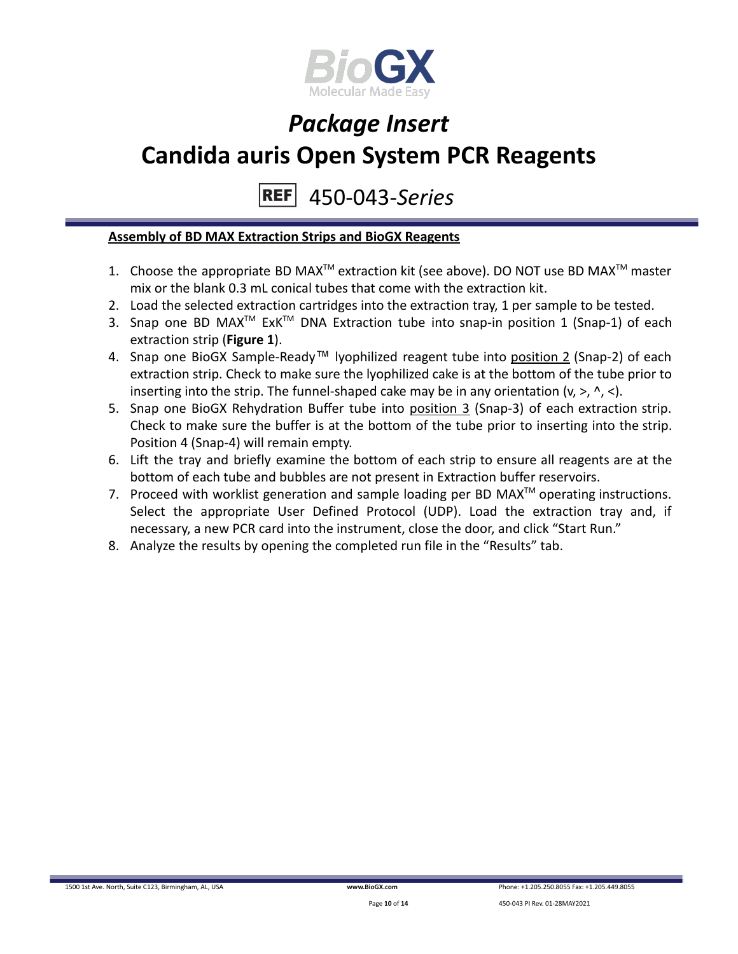

450-043-*Series* **REF** 

#### **Assembly of BD MAX Extraction Strips and BioGX Reagents**

- 1. Choose the appropriate BD MAX<sup>TM</sup> extraction kit (see above). DO NOT use BD MAX<sup>TM</sup> master mix or the blank 0.3 mL conical tubes that come with the extraction kit.
- 2. Load the selected extraction cartridges into the extraction tray, 1 per sample to be tested.
- 3. Snap one BD MAX<sup>™</sup> ExK<sup>™</sup> DNA Extraction tube into snap-in position 1 (Snap-1) of each extraction strip (**Figure 1**).
- 4. Snap one BioGX Sample-Ready™ lyophilized reagent tube into position 2 (Snap-2) of each extraction strip. Check to make sure the lyophilized cake is at the bottom of the tube prior to inserting into the strip. The funnel-shaped cake may be in any orientation  $(v, >, \land, <)$ .
- 5. Snap one BioGX Rehydration Buffer tube into position 3 (Snap-3) of each extraction strip. Check to make sure the buffer is at the bottom of the tube prior to inserting into the strip. Position 4 (Snap-4) will remain empty.
- 6. Lift the tray and briefly examine the bottom of each strip to ensure all reagents are at the bottom of each tube and bubbles are not present in Extraction buffer reservoirs.
- 7. Proceed with worklist generation and sample loading per BD MAX $^{TM}$  operating instructions. Select the appropriate User Defined Protocol (UDP). Load the extraction tray and, if necessary, a new PCR card into the instrument, close the door, and click "Start Run."
- 8. Analyze the results by opening the completed run file in the "Results" tab.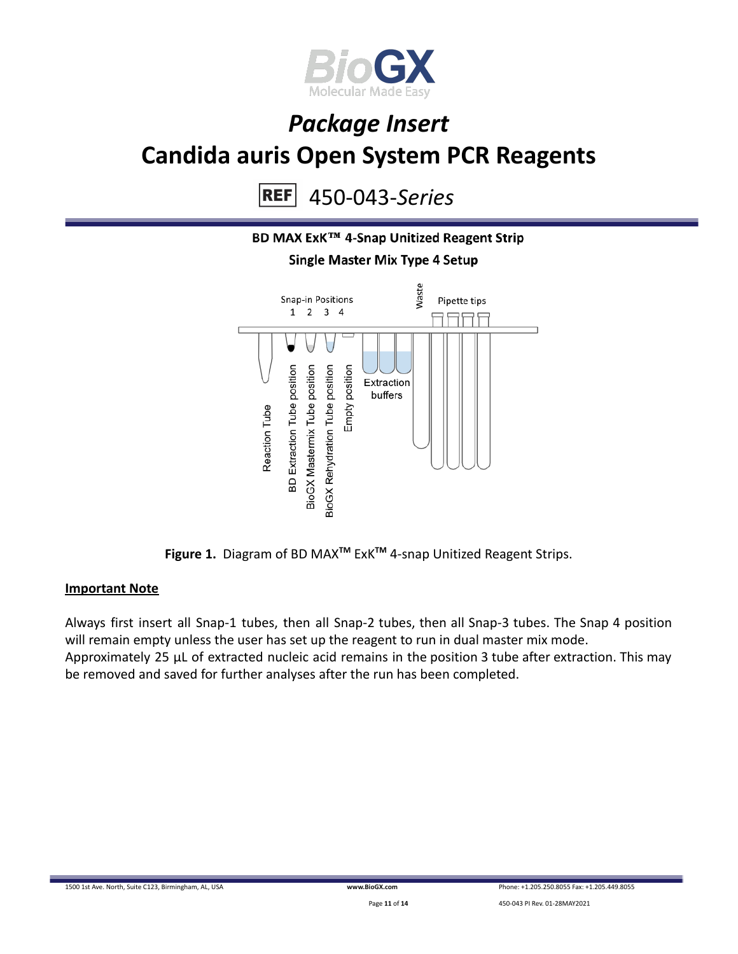

450-043-*Series* **REF** 



**Figure 1.** Diagram of BD MAX**TM** ExK**TM** 4-snap Unitized Reagent Strips.

#### **Important Note**

Always first insert all Snap-1 tubes, then all Snap-2 tubes, then all Snap-3 tubes. The Snap 4 position will remain empty unless the user has set up the reagent to run in dual master mix mode. Approximately 25 µL of extracted nucleic acid remains in the position 3 tube after extraction. This may be removed and saved for further analyses after the run has been completed.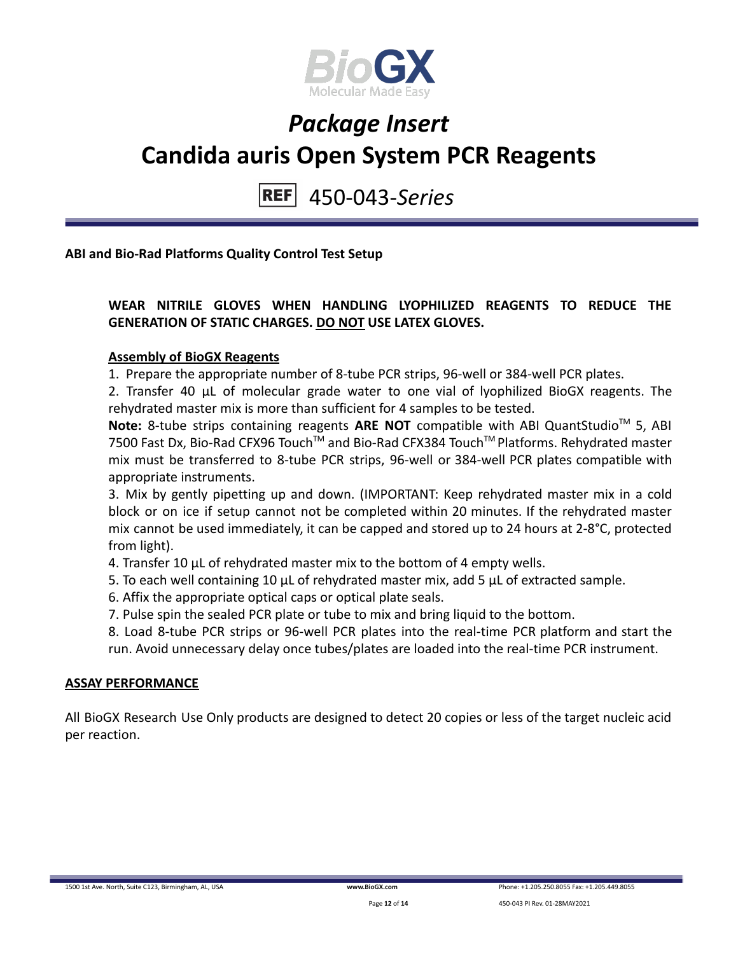

450-043-*Series* **REF** 

**ABI and Bio-Rad Platforms Quality Control Test Setup**

### **WEAR NITRILE GLOVES WHEN HANDLING LYOPHILIZED REAGENTS TO REDUCE THE GENERATION OF STATIC CHARGES. DO NOT USE LATEX GLOVES.**

#### **Assembly of BioGX Reagents**

1. Prepare the appropriate number of 8-tube PCR strips, 96-well or 384-well PCR plates.

2. Transfer 40 μL of molecular grade water to one vial of lyophilized BioGX reagents. The rehydrated master mix is more than sufficient for 4 samples to be tested.

Note: 8-tube strips containing reagents ARE NOT compatible with ABI QuantStudio<sup>™</sup> 5, ABI 7500 Fast Dx, Bio-Rad CFX96 Touch™ and Bio-Rad CFX384 Touch™ Platforms. Rehydrated master mix must be transferred to 8-tube PCR strips, 96-well or 384-well PCR plates compatible with appropriate instruments.

3. Mix by gently pipetting up and down. (IMPORTANT: Keep rehydrated master mix in a cold block or on ice if setup cannot not be completed within 20 minutes. If the rehydrated master mix cannot be used immediately, it can be capped and stored up to 24 hours at 2-8°C, protected from light).

4. Transfer 10 μL of rehydrated master mix to the bottom of 4 empty wells.

5. To each well containing 10 μL of rehydrated master mix, add 5 μL of extracted sample.

- 6. Affix the appropriate optical caps or optical plate seals.
- 7. Pulse spin the sealed PCR plate or tube to mix and bring liquid to the bottom.

8. Load 8-tube PCR strips or 96-well PCR plates into the real-time PCR platform and start the run. Avoid unnecessary delay once tubes/plates are loaded into the real-time PCR instrument.

#### **ASSAY PERFORMANCE**

All BioGX Research Use Only products are designed to detect 20 copies or less of the target nucleic acid per reaction.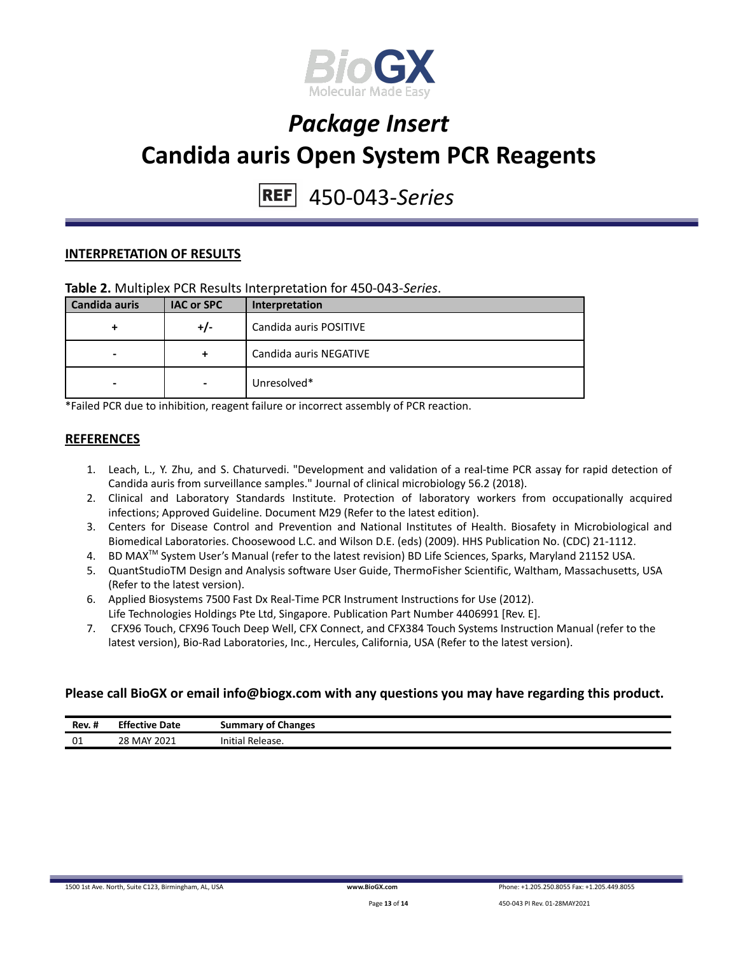

## 450-043-*Series*

#### **INTERPRETATION OF RESULTS**

#### **Table 2.** Multiplex PCR Results Interpretation for 450-043-*Series*.

| Candida auris | <b>IAC or SPC</b>        | Interpretation         |
|---------------|--------------------------|------------------------|
| +             | +/-                      | Candida auris POSITIVE |
| ۰             | +                        | Candida auris NEGATIVE |
| -             | $\overline{\phantom{a}}$ | Unresolved*            |

\*Failed PCR due to inhibition, reagent failure or incorrect assembly of PCR reaction.

#### **REFERENCES**

- 1. Leach, L., Y. Zhu, and S. Chaturvedi. "Development and validation of a real-time PCR assay for rapid detection of Candida auris from surveillance samples." Journal of clinical microbiology 56.2 (2018).
- 2. Clinical and Laboratory Standards Institute. Protection of laboratory workers from occupationally acquired infections; Approved Guideline. Document M29 (Refer to the latest edition).
- 3. Centers for Disease Control and Prevention and National Institutes of Health. Biosafety in Microbiological and Biomedical Laboratories. Choosewood L.C. and Wilson D.E. (eds) (2009). HHS Publication No. (CDC) 21-1112.
- 4. BD MAX<sup>™</sup> System User's Manual (refer to the latest revision) BD Life Sciences, Sparks, Maryland 21152 USA.
- 5. QuantStudioTM Design and Analysis software User Guide, ThermoFisher Scientific, Waltham, Massachusetts, USA (Refer to the latest version).
- 6. Applied Biosystems 7500 Fast Dx Real-Time PCR Instrument Instructions for Use (2012). Life Technologies Holdings Pte Ltd, Singapore. Publication Part Number 4406991 [Rev. E].
- 7. CFX96 Touch, CFX96 Touch Deep Well, CFX Connect, and CFX384 Touch Systems Instruction Manual (refer to the latest version), Bio-Rad Laboratories, Inc., Hercules, California, USA (Refer to the latest version).

#### **Please call BioGX or email info@biogx.com with any questions you may have regarding this product.**

| -88<br>Rev. I | <b>Effective Date</b> | <b>Summary of Changes</b><br>. . |
|---------------|-----------------------|----------------------------------|
| 01            | 28 MAY 2021           | .<br>Initial<br>`Release.        |

1500 1st Ave. North, Suite C123, Birmingham, AL, USA **[www.BioGX.com](http://www.biogx.com/eu)** Phone: +1.205.250.8055 Fax: +1.205.449.8055